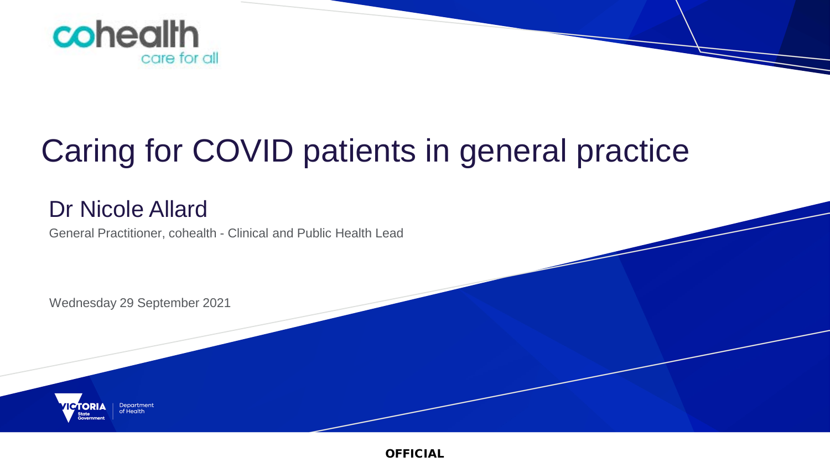

# Caring for COVID patients in general practice

### Dr Nicole Allard

General Practitioner, cohealth - Clinical and Public Health Lead

Wednesday 29 September 2021

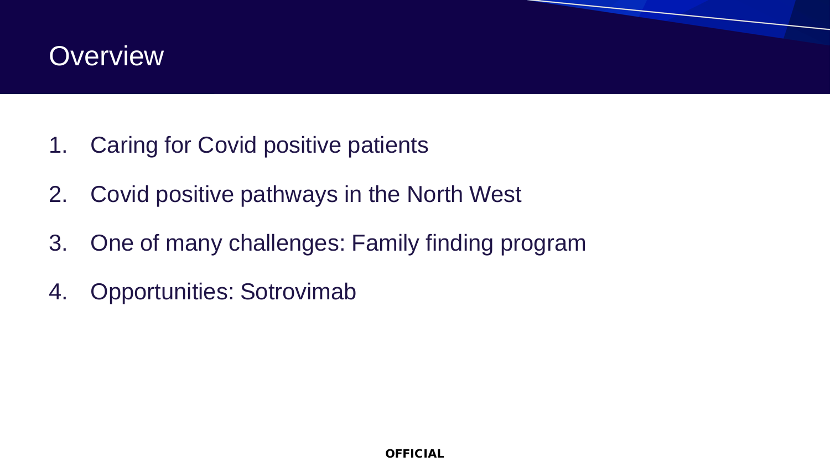### **Overview**

- 1. Caring for Covid positive patients
- 2. Covid positive pathways in the North West
- 3. One of many challenges: Family finding program
- 4. Opportunities: Sotrovimab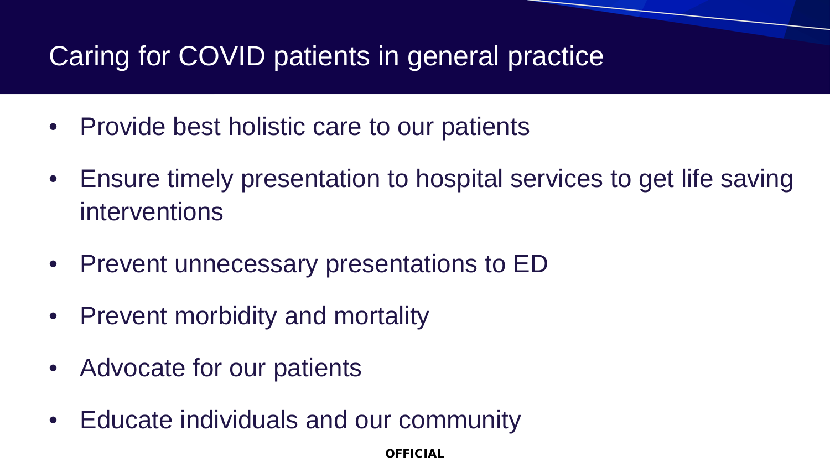## Caring for COVID patients in general practice

- Provide best holistic care to our patients
- Ensure timely presentation to hospital services to get life saving interventions
- Prevent unnecessary presentations to ED
- Prevent morbidity and mortality
- Advocate for our patients
- Educate individuals and our community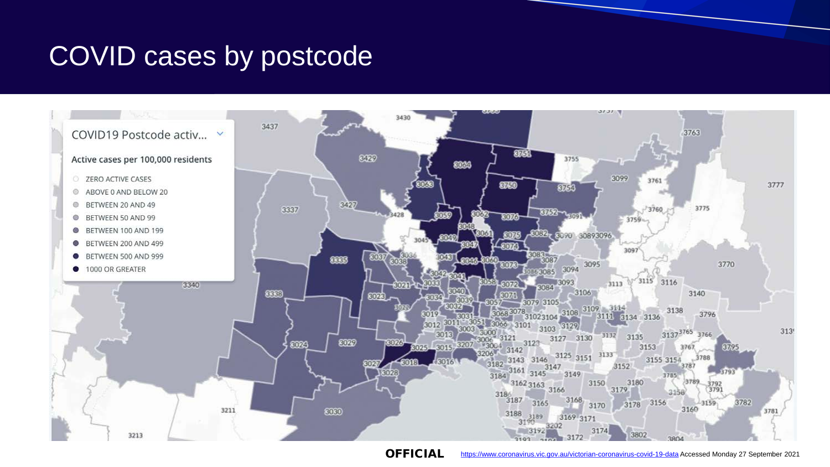### COVID cases by postcode

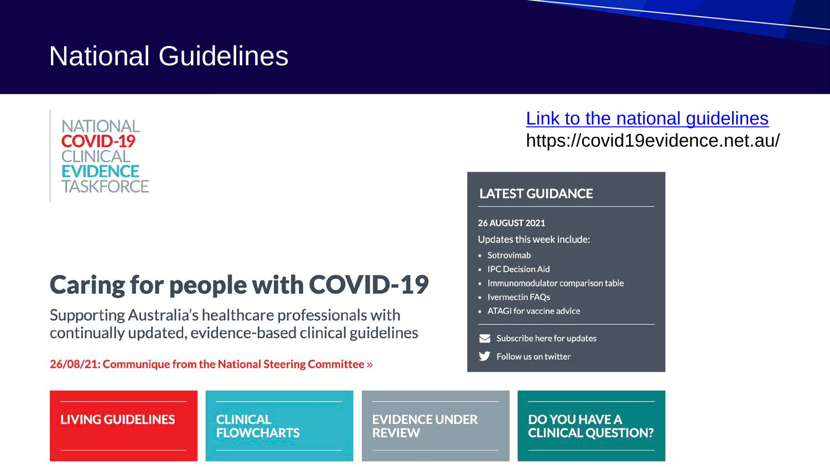### National Guidelines



# **Caring for people with COVID-19**

Supporting Australia's healthcare professionals with continually updated, evidence-based clinical guidelines

26/08/21: Communique from the National Steering Committee »

### [Link to the national guidelines](https://covid19evidence.net.au/) https://covid19evidence.net.au/

### **LATEST GUIDANCE**

**26 AUGUST 2021** 

- Updates this week include:
- · Sotrovimab
- IPC Decision Aid
- Immunomodulator comparison table
- Ivermectin FAOs
- ATAGI for vaccine advice
- $\blacktriangleright$  Subscribe here for updates
- Follow us on twitter

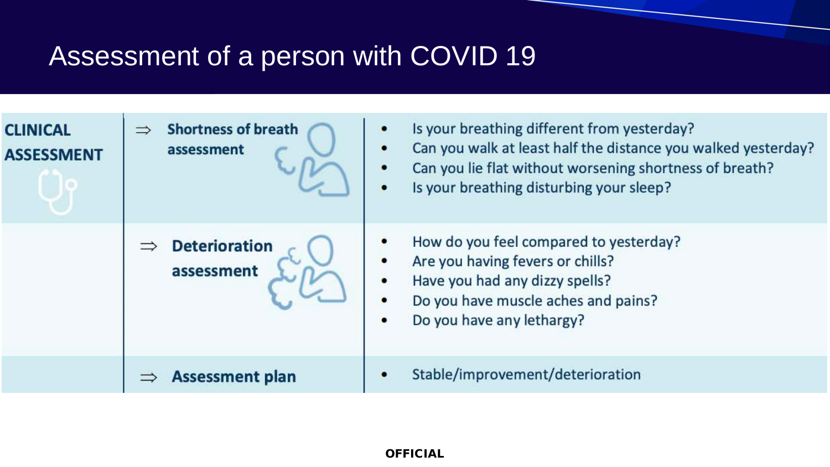# Assessment of a person with COVID 19

| <b>CLINICAL</b><br><b>ASSESSMENT</b> | <b>Shortness of breath</b><br>$\Rightarrow$<br>assessment | Is your breathing different from yesterday?<br>$\bullet$<br>Can you walk at least half the distance you walked yesterday?<br>$\bullet$<br>Can you lie flat without worsening shortness of breath?<br>٠<br>Is your breathing disturbing your sleep?<br>$\bullet$ |
|--------------------------------------|-----------------------------------------------------------|-----------------------------------------------------------------------------------------------------------------------------------------------------------------------------------------------------------------------------------------------------------------|
|                                      | <b>Deterioration</b><br>assessment                        | How do you feel compared to yesterday?<br>٠<br>Are you having fevers or chills?<br>$\bullet$<br>Have you had any dizzy spells?<br>$\bullet$<br>Do you have muscle aches and pains?<br>٠<br>Do you have any lethargy?<br>$\bullet$                               |
|                                      | <b>Assessment plan</b>                                    | Stable/improvement/deterioration<br>۰                                                                                                                                                                                                                           |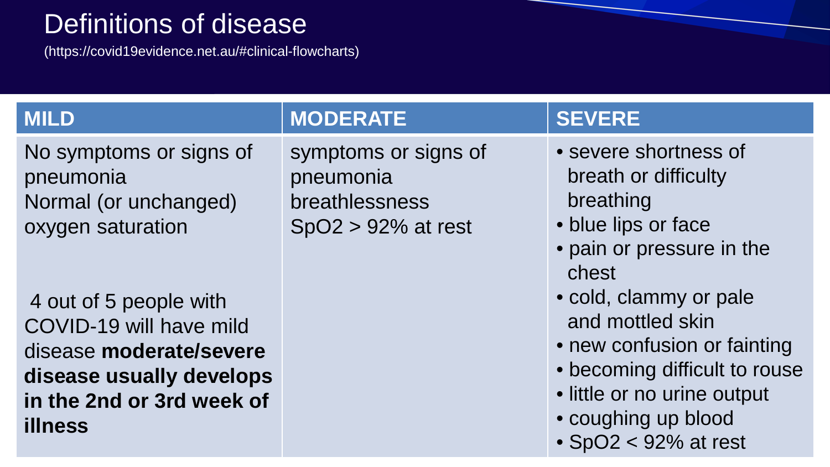### Definitions of disease

(https://covid19evidence.net.au/#clinical-flowcharts)

No symptoms or signs of pneumonia Normal (or unchanged) oxygen saturation

4 out of 5 people with COVID-19 will have mild disease **moderate/severe disease usually develops in the 2nd or 3rd week of illness**

### **MILD MODERATE IN SEVERE**

symptoms or signs of pneumonia breathlessness SpO2 > 92% at rest

- severe shortness of breath or difficulty breathing
- blue lips or face
- pain or pressure in the chest
- cold, clammy or pale and mottled skin
- new confusion or fainting
- becoming difficult to rouse
- little or no urine output
- coughing up blood
- SpO2 < 92% at rest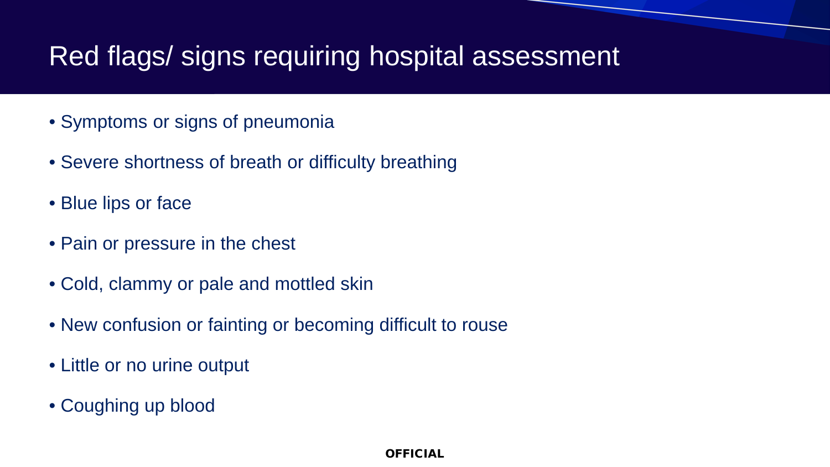### Red flags/ signs requiring hospital assessment

- Symptoms or signs of pneumonia
- Severe shortness of breath or difficulty breathing
- Blue lips or face
- Pain or pressure in the chest
- Cold, clammy or pale and mottled skin
- New confusion or fainting or becoming difficult to rouse
- Little or no urine output
- Coughing up blood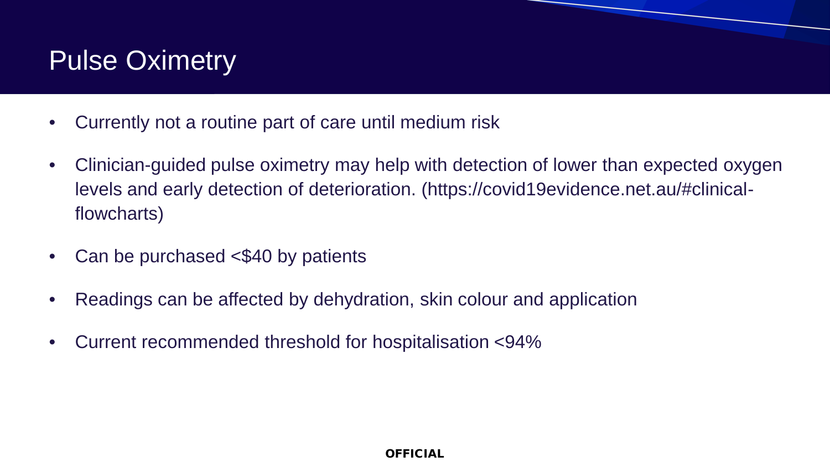## Pulse Oximetry

- Currently not a routine part of care until medium risk
- Clinician-guided pulse oximetry may help with detection of lower than expected oxygen levels and early detection of deterioration. (https://covid19evidence.net.au/#clinicalflowcharts)
- Can be purchased <\$40 by patients
- Readings can be affected by dehydration, skin colour and application
- Current recommended threshold for hospitalisation <94%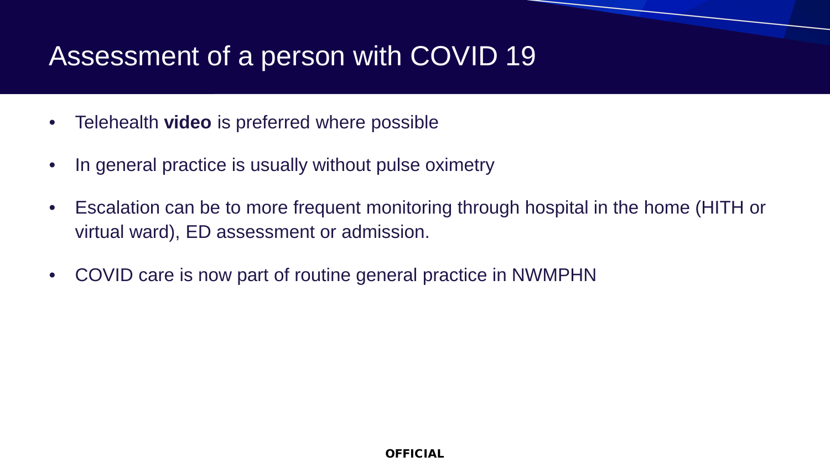## Assessment of a person with COVID 19

- Telehealth **video** is preferred where possible
- In general practice is usually without pulse oximetry
- Escalation can be to more frequent monitoring through hospital in the home (HITH or virtual ward), ED assessment or admission.
- COVID care is now part of routine general practice in NWMPHN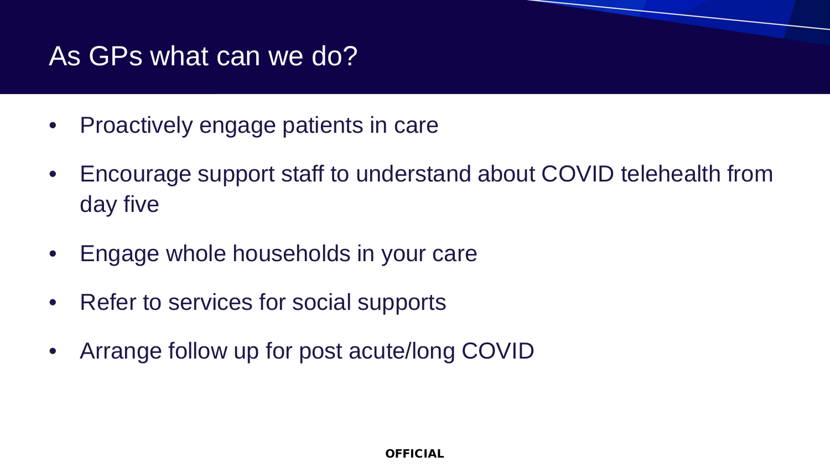### As GPs what can we do?

- Proactively engage patients in care
- Encourage support staff to understand about COVID telehealth from day five
- Engage whole households in your care
- Refer to services for social supports
- Arrange follow up for post acute/long COVID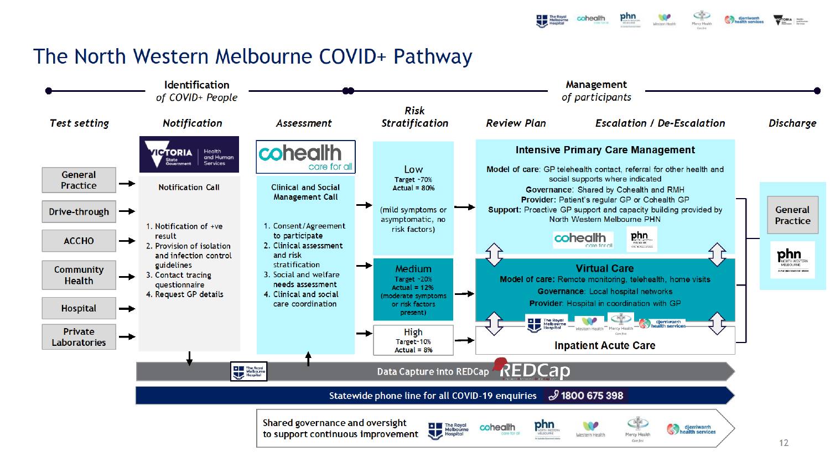cohealth

### The North Western Melbourne COVID+ Pathway

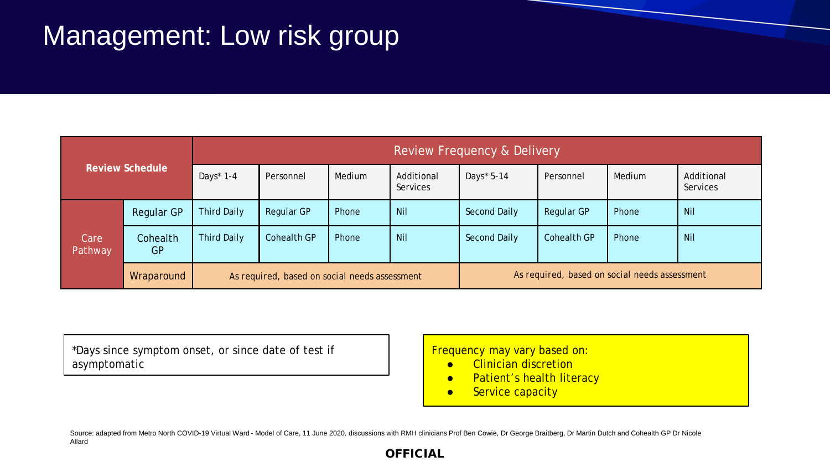## Management: Low risk group

| <b>Review Schedule</b> |                   | Review Frequency & Delivery                   |                    |        |                        |                                               |             |        |                        |
|------------------------|-------------------|-----------------------------------------------|--------------------|--------|------------------------|-----------------------------------------------|-------------|--------|------------------------|
|                        |                   | Days $*$ 1-4                                  | Personnel          | Medium | Additional<br>Services | Days* 5-14                                    | Personnel   | Medium | Additional<br>Services |
| Care<br>Pathway        | <b>Regular GP</b> | <b>Third Daily</b>                            | Regular GP         | Phone  | <b>Nil</b>             | Second Daily                                  | Regular GP  | Phone  | <b>Nil</b>             |
|                        | Cohealth<br>GP    | <b>Third Daily</b>                            | <b>Cohealth GP</b> | Phone  | <b>Nil</b>             | Second Daily                                  | Cohealth GP | Phone  | Nil                    |
|                        | Wraparound        | As required, based on social needs assessment |                    |        |                        | As required, based on social needs assessment |             |        |                        |

\*Days since symptom onset, or since date of test if asymptomatic

Frequency may vary based on:

- Clinician discretion
- Patient's health literacy
- **•** Service capacity

Source: adapted from Metro North COVID-19 Virtual Ward - Model of Care, 11 June 2020, discussions with RMH clinicians Prof Ben Cowie, Dr George Braitberg, Dr Martin Dutch and Cohealth GP Dr Nicole Allard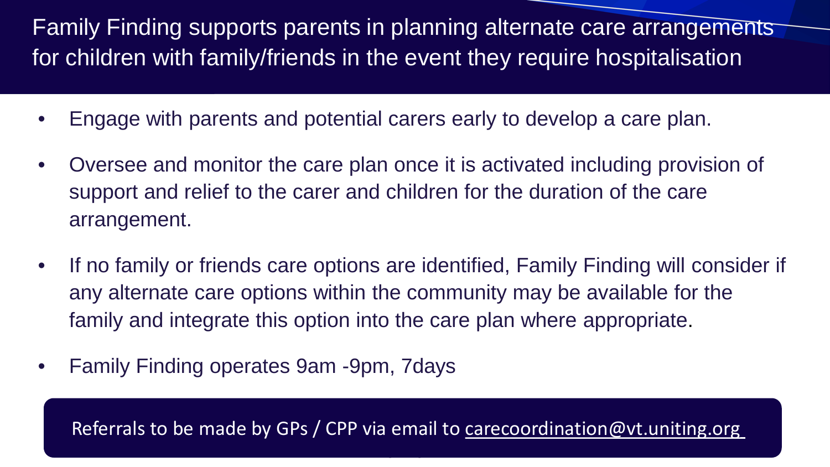Family Finding supports parents in planning alternate care arrangements for children with family/friends in the event they require hospitalisation

- Engage with parents and potential carers early to develop a care plan.
- Oversee and monitor the care plan once it is activated including provision of support and relief to the carer and children for the duration of the care arrangement.
- If no family or friends care options are identified, Family Finding will consider if any alternate care options within the community may be available for the family and integrate this option into the care plan where appropriate.
- Family Finding operates 9am -9pm, 7days

Referrals to be made by GPs / CPP via email to [carecoordination@vt.uniting.org](mailto:carecoordination@vt.uniting.org)

<u>Official and</u>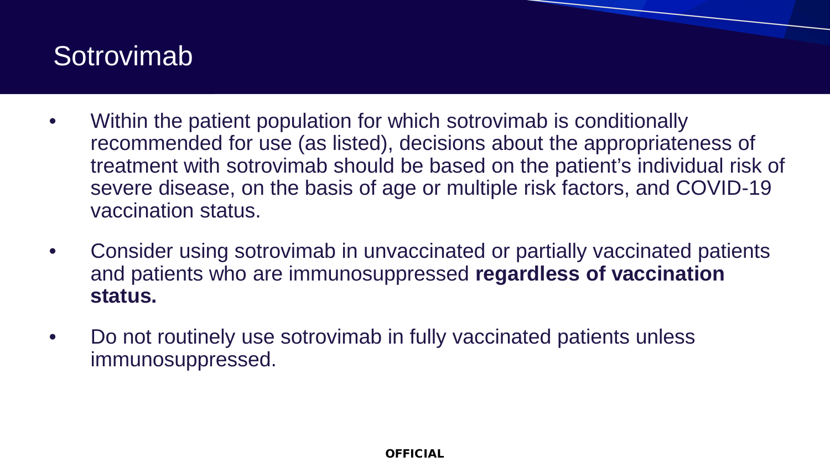### **Sotrovimab**

- Within the patient population for which sotrovimab is conditionally recommended for use (as listed), decisions about the appropriateness of treatment with sotrovimab should be based on the patient's individual risk of severe disease, on the basis of age or multiple risk factors, and COVID-19 vaccination status.
- Consider using sotrovimab in unvaccinated or partially vaccinated patients and patients who are immunosuppressed **regardless of vaccination status.**
- Do not routinely use sotrovimab in fully vaccinated patients unless immunosuppressed.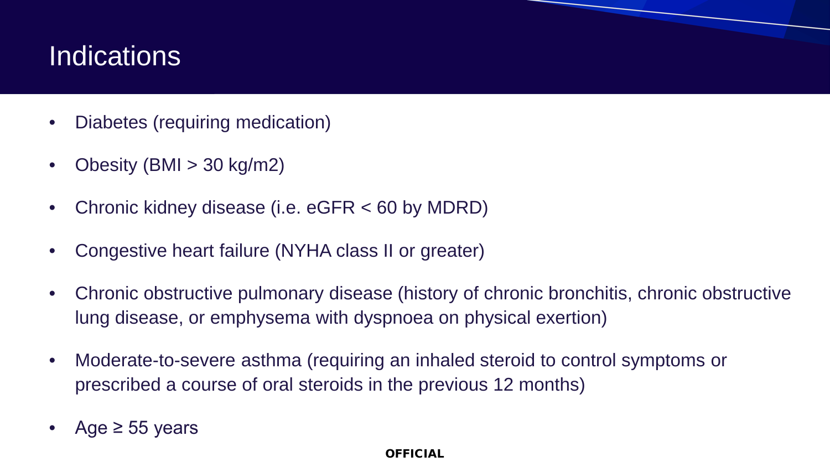### **Indications**

- Diabetes (requiring medication)
- Obesity (BMI  $>$  30 kg/m2)
- Chronic kidney disease (i.e. eGFR < 60 by MDRD)
- Congestive heart failure (NYHA class II or greater)
- Chronic obstructive pulmonary disease (history of chronic bronchitis, chronic obstructive lung disease, or emphysema with dyspnoea on physical exertion)
- Moderate-to-severe asthma (requiring an inhaled steroid to control symptoms or prescribed a course of oral steroids in the previous 12 months)
- Age  $\ge$  55 years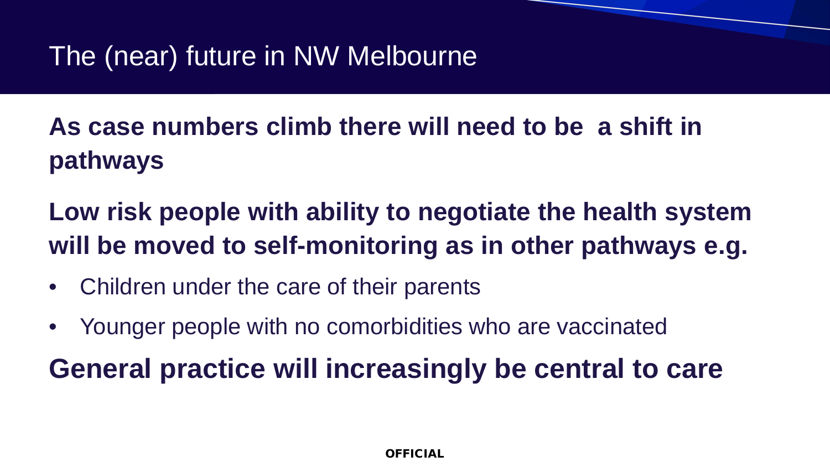**As case numbers climb there will need to be a shift in pathways**

**Low risk people with ability to negotiate the health system will be moved to self-monitoring as in other pathways e.g.** 

- Children under the care of their parents
- Younger people with no comorbidities who are vaccinated

**General practice will increasingly be central to care**